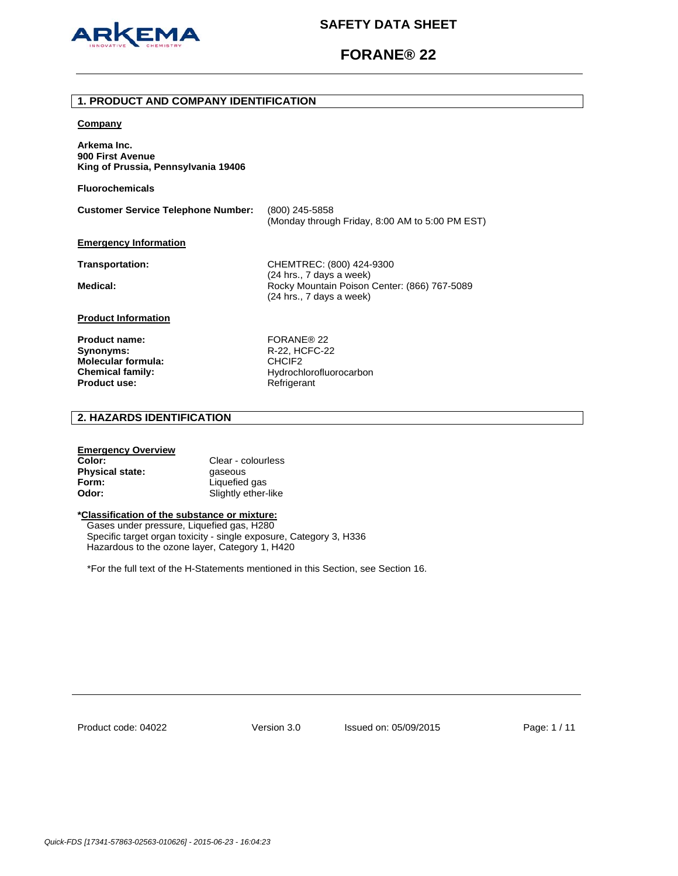

# **FORANE® 22**

### **1. PRODUCT AND COMPANY IDENTIFICATION**

#### **Company**

**Arkema Inc. 900 First Avenue King of Prussia, Pennsylvania 19406** 

**Fluorochemicals**

**Customer Service Telephone Number:** (800) 245-5858 (Monday through Friday, 8:00 AM to 5:00 PM EST)

#### **Emergency Information**

**Transportation:** CHEMTREC: (800) 424-9300 (24 hrs., 7 days a week) Medical: **Medical: Rocky Mountain Poison Center: (866) 767-5089** (24 hrs., 7 days a week)

# **Product Information**

Product name: FORANE<sup>®</sup> 22 **Synonyms:** R-22, HCFC-22 **Molecular formula:** CHCIF2 **Product use:** Refrigerant

**Chemical family:** Hydrochlorofluorocarbon

# **2. HAZARDS IDENTIFICATION**

# **Emergency Overview**

| Color:          | Clear - colourless  |
|-----------------|---------------------|
| Physical state: | gaseous             |
| Form:           | Liquefied gas       |
| Odor:           | Slightly ether-like |

# **\*Classification of the substance or mixture:**

Gases under pressure, Liquefied gas, H280 Specific target organ toxicity - single exposure, Category 3, H336 Hazardous to the ozone layer, Category 1, H420

\*For the full text of the H-Statements mentioned in this Section, see Section 16.

Product code: 04022

Version 3.0 Issued on: 05/09/2015 Page: 1 / 11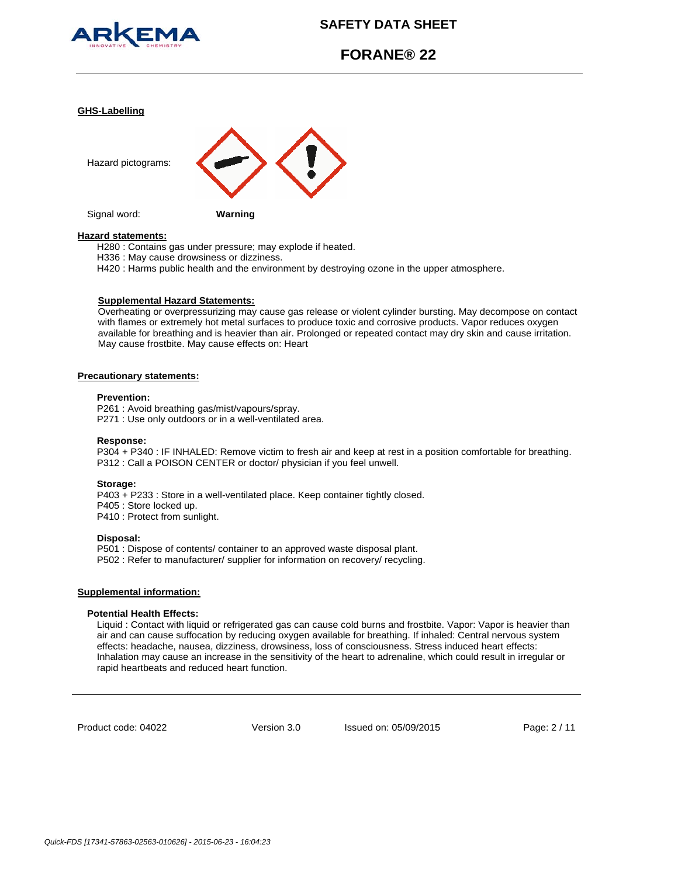

# **FORANE® 22**

#### **GHS-Labelling**



#### **Hazard statements:**

H280 : Contains gas under pressure; may explode if heated.

H336 : May cause drowsiness or dizziness.

H420 : Harms public health and the environment by destroying ozone in the upper atmosphere.

#### **Supplemental Hazard Statements:**

Overheating or overpressurizing may cause gas release or violent cylinder bursting. May decompose on contact with flames or extremely hot metal surfaces to produce toxic and corrosive products. Vapor reduces oxygen available for breathing and is heavier than air. Prolonged or repeated contact may dry skin and cause irritation. May cause frostbite. May cause effects on: Heart

#### **Precautionary statements:**

#### **Prevention:**

P261 : Avoid breathing gas/mist/vapours/spray. P271 : Use only outdoors or in a well-ventilated area.

#### **Response:**

P304 + P340 : IF INHALED: Remove victim to fresh air and keep at rest in a position comfortable for breathing. P312 : Call a POISON CENTER or doctor/ physician if you feel unwell.

#### **Storage:**

P403 + P233 : Store in a well-ventilated place. Keep container tightly closed. P405 : Store locked up. P410 : Protect from sunlight.

#### **Disposal:**

P501 : Dispose of contents/ container to an approved waste disposal plant. P502 : Refer to manufacturer/ supplier for information on recovery/ recycling.

#### **Supplemental information:**

#### **Potential Health Effects:**

Liquid : Contact with liquid or refrigerated gas can cause cold burns and frostbite. Vapor: Vapor is heavier than air and can cause suffocation by reducing oxygen available for breathing. If inhaled: Central nervous system effects: headache, nausea, dizziness, drowsiness, loss of consciousness. Stress induced heart effects: Inhalation may cause an increase in the sensitivity of the heart to adrenaline, which could result in irregular or rapid heartbeats and reduced heart function.

Product code: 04022

Version 3.0 Issued on: 05/09/2015 Page: 2 / 11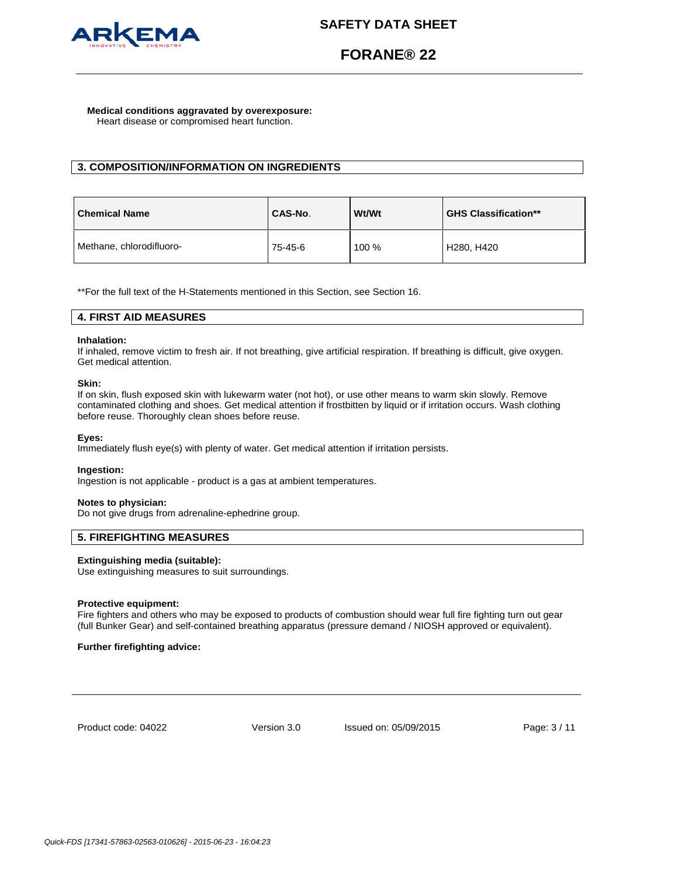

# **FORANE® 22**

#### **Medical conditions aggravated by overexposure:** Heart disease or compromised heart function.

# **3. COMPOSITION/INFORMATION ON INGREDIENTS**

| <b>Chemical Name</b>     | CAS-No. | Wt/Wt | <b>GHS Classification**</b> |
|--------------------------|---------|-------|-----------------------------|
| Methane, chlorodifluoro- | 75-45-6 | 100 % | H280, H420                  |

\*\*For the full text of the H-Statements mentioned in this Section, see Section 16.

# **4. FIRST AID MEASURES**

# **Inhalation:**

If inhaled, remove victim to fresh air. If not breathing, give artificial respiration. If breathing is difficult, give oxygen. Get medical attention.

### **Skin:**

If on skin, flush exposed skin with lukewarm water (not hot), or use other means to warm skin slowly. Remove contaminated clothing and shoes. Get medical attention if frostbitten by liquid or if irritation occurs. Wash clothing before reuse. Thoroughly clean shoes before reuse.

# **Eyes:**

Immediately flush eye(s) with plenty of water. Get medical attention if irritation persists.

# **Ingestion:**

Ingestion is not applicable - product is a gas at ambient temperatures.

### **Notes to physician:**

Do not give drugs from adrenaline-ephedrine group.

# **5. FIREFIGHTING MEASURES**

# **Extinguishing media (suitable):**

Use extinguishing measures to suit surroundings.

### **Protective equipment:**

Fire fighters and others who may be exposed to products of combustion should wear full fire fighting turn out gear (full Bunker Gear) and self-contained breathing apparatus (pressure demand / NIOSH approved or equivalent).

### **Further firefighting advice:**

Product code: 04022

Version 3.0 Issued on: 05/09/2015 Page: 3 / 11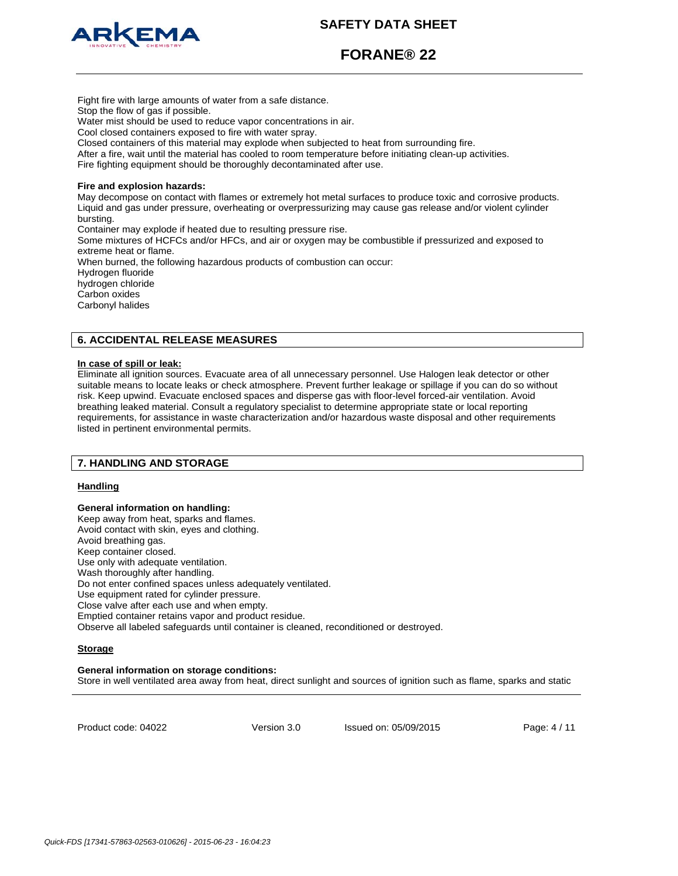

**FORANE® 22**

Fight fire with large amounts of water from a safe distance. Stop the flow of gas if possible. Water mist should be used to reduce vapor concentrations in air. Cool closed containers exposed to fire with water spray. Closed containers of this material may explode when subjected to heat from surrounding fire. After a fire, wait until the material has cooled to room temperature before initiating clean-up activities. Fire fighting equipment should be thoroughly decontaminated after use. **Fire and explosion hazards:** May decompose on contact with flames or extremely hot metal surfaces to produce toxic and corrosive products. Liquid and gas under pressure, overheating or overpressurizing may cause gas release and/or violent cylinder bursting. Container may explode if heated due to resulting pressure rise. Some mixtures of HCFCs and/or HFCs, and air or oxygen may be combustible if pressurized and exposed to extreme heat or flame. When burned, the following hazardous products of combustion can occur: Hydrogen fluoride hydrogen chloride Carbon oxides Carbonyl halides

# **6. ACCIDENTAL RELEASE MEASURES**

# **In case of spill or leak:**

Eliminate all ignition sources. Evacuate area of all unnecessary personnel. Use Halogen leak detector or other suitable means to locate leaks or check atmosphere. Prevent further leakage or spillage if you can do so without risk. Keep upwind. Evacuate enclosed spaces and disperse gas with floor-level forced-air ventilation. Avoid breathing leaked material. Consult a regulatory specialist to determine appropriate state or local reporting requirements, for assistance in waste characterization and/or hazardous waste disposal and other requirements listed in pertinent environmental permits.

# **7. HANDLING AND STORAGE**

### **Handling**

**General information on handling:**  Keep away from heat, sparks and flames. Avoid contact with skin, eyes and clothing. Avoid breathing gas. Keep container closed. Use only with adequate ventilation. Wash thoroughly after handling. Do not enter confined spaces unless adequately ventilated. Use equipment rated for cylinder pressure. Close valve after each use and when empty. Emptied container retains vapor and product residue. Observe all labeled safeguards until container is cleaned, reconditioned or destroyed.

### **Storage**

#### **General information on storage conditions:**

Store in well ventilated area away from heat, direct sunlight and sources of ignition such as flame, sparks and static

Product code: 04022

Version 3.0 Issued on: 05/09/2015 Page: 4 / 11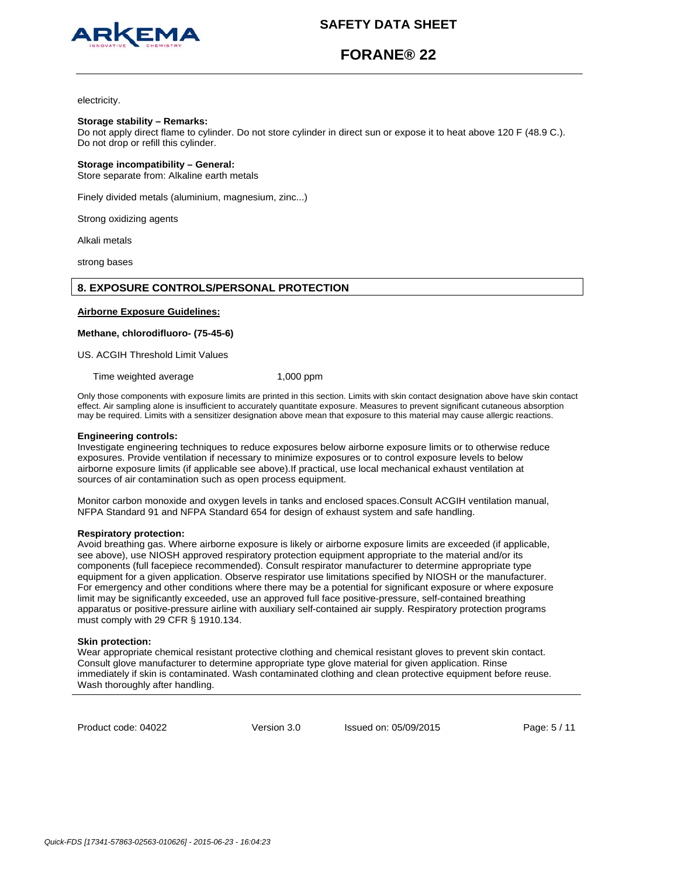

# **FORANE® 22**

electricity.

#### **Storage stability – Remarks:**

Do not apply direct flame to cylinder. Do not store cylinder in direct sun or expose it to heat above 120 F (48.9 C.). Do not drop or refill this cylinder.

### **Storage incompatibility – General:**

Store separate from: Alkaline earth metals

Finely divided metals (aluminium, magnesium, zinc...)

Strong oxidizing agents

Alkali metals

strong bases

# **8. EXPOSURE CONTROLS/PERSONAL PROTECTION**

#### **Airborne Exposure Guidelines:**

### **Methane, chlorodifluoro- (75-45-6)**

US. ACGIH Threshold Limit Values

Time weighted average 1,000 ppm

Only those components with exposure limits are printed in this section. Limits with skin contact designation above have skin contact effect. Air sampling alone is insufficient to accurately quantitate exposure. Measures to prevent significant cutaneous absorption may be required. Limits with a sensitizer designation above mean that exposure to this material may cause allergic reactions.

#### **Engineering controls:**

Investigate engineering techniques to reduce exposures below airborne exposure limits or to otherwise reduce exposures. Provide ventilation if necessary to minimize exposures or to control exposure levels to below airborne exposure limits (if applicable see above).If practical, use local mechanical exhaust ventilation at sources of air contamination such as open process equipment.

Monitor carbon monoxide and oxygen levels in tanks and enclosed spaces.Consult ACGIH ventilation manual, NFPA Standard 91 and NFPA Standard 654 for design of exhaust system and safe handling.

#### **Respiratory protection:**

Avoid breathing gas. Where airborne exposure is likely or airborne exposure limits are exceeded (if applicable, see above), use NIOSH approved respiratory protection equipment appropriate to the material and/or its components (full facepiece recommended). Consult respirator manufacturer to determine appropriate type equipment for a given application. Observe respirator use limitations specified by NIOSH or the manufacturer. For emergency and other conditions where there may be a potential for significant exposure or where exposure limit may be significantly exceeded, use an approved full face positive-pressure, self-contained breathing apparatus or positive-pressure airline with auxiliary self-contained air supply. Respiratory protection programs must comply with 29 CFR § 1910.134.

#### **Skin protection:**

Wear appropriate chemical resistant protective clothing and chemical resistant gloves to prevent skin contact. Consult glove manufacturer to determine appropriate type glove material for given application. Rinse immediately if skin is contaminated. Wash contaminated clothing and clean protective equipment before reuse. Wash thoroughly after handling.

Product code: 04022

Version 3.0 Issued on: 05/09/2015 Page: 5 / 11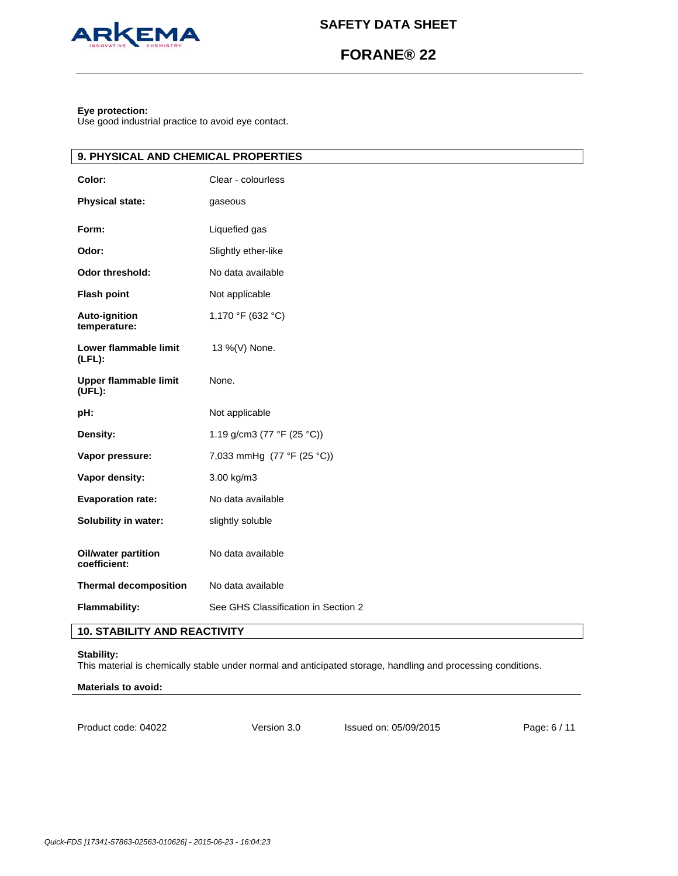

# **FORANE® 22**

# **Eye protection:**

 $\overline{\mathbf{I}}$ 

Use good industrial practice to avoid eye contact.

| 9. PHYSICAL AND CHEMICAL PROPERTIES    |                                     |  |
|----------------------------------------|-------------------------------------|--|
| Color:                                 | Clear - colourless                  |  |
| <b>Physical state:</b>                 | gaseous                             |  |
| Form:                                  | Liquefied gas                       |  |
| Odor:                                  | Slightly ether-like                 |  |
| <b>Odor threshold:</b>                 | No data available                   |  |
| <b>Flash point</b>                     | Not applicable                      |  |
| <b>Auto-ignition</b><br>temperature:   | 1,170 °F (632 °C)                   |  |
| Lower flammable limit<br>$(LFL)$ :     | 13 %(V) None.                       |  |
| <b>Upper flammable limit</b><br>(UFL): | None.                               |  |
| pH:                                    | Not applicable                      |  |
| Density:                               | 1.19 g/cm3 (77 °F (25 °C))          |  |
| Vapor pressure:                        | 7,033 mmHg (77 °F (25 °C))          |  |
| Vapor density:                         | 3.00 kg/m3                          |  |
| <b>Evaporation rate:</b>               | No data available                   |  |
| Solubility in water:                   | slightly soluble                    |  |
| Oil/water partition<br>coefficient:    | No data available                   |  |
| <b>Thermal decomposition</b>           | No data available                   |  |
| <b>Flammability:</b>                   | See GHS Classification in Section 2 |  |

# **10. STABILITY AND REACTIVITY**

### **Stability:**

This material is chemically stable under normal and anticipated storage, handling and processing conditions.

# **Materials to avoid:**

Product code: 04022

Version 3.0 Issued on: 05/09/2015 Page: 6 / 11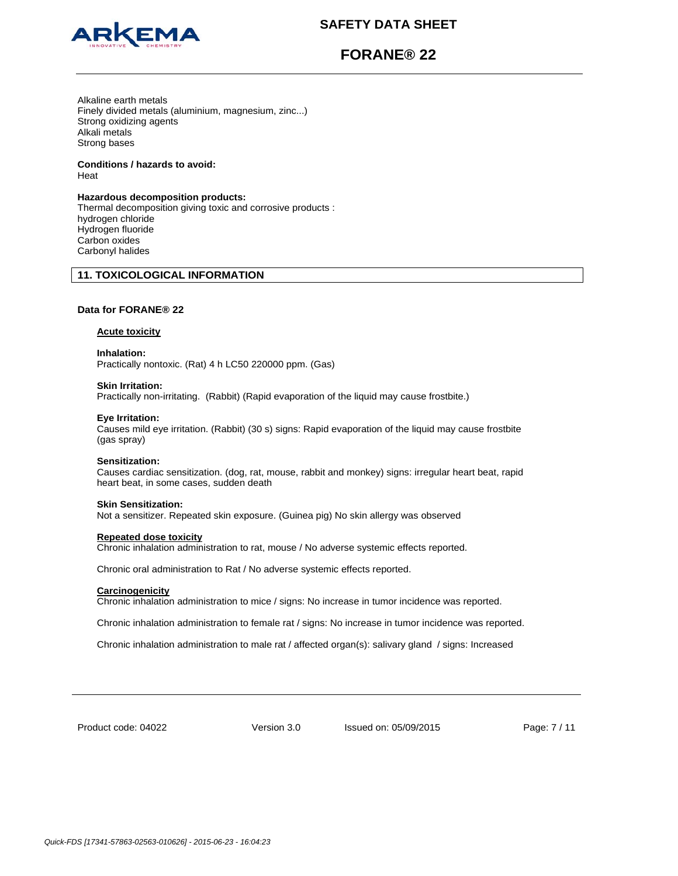

# **FORANE® 22**

Alkaline earth metals Finely divided metals (aluminium, magnesium, zinc...) Strong oxidizing agents Alkali metals Strong bases

**Conditions / hazards to avoid:**  Heat

#### **Hazardous decomposition products:**

Thermal decomposition giving toxic and corrosive products : hydrogen chloride Hydrogen fluoride Carbon oxides Carbonyl halides

# **11. TOXICOLOGICAL INFORMATION**

# **Data for FORANE® 22**

#### **Acute toxicity**

**Inhalation:**  Practically nontoxic. (Rat) 4 h LC50 220000 ppm. (Gas)

#### **Skin Irritation:**

Practically non-irritating. (Rabbit) (Rapid evaporation of the liquid may cause frostbite.)

# **Eye Irritation:**

Causes mild eye irritation. (Rabbit) (30 s) signs: Rapid evaporation of the liquid may cause frostbite (gas spray)

#### **Sensitization:**

Causes cardiac sensitization. (dog, rat, mouse, rabbit and monkey) signs: irregular heart beat, rapid heart beat, in some cases, sudden death

#### **Skin Sensitization:**

Not a sensitizer. Repeated skin exposure. (Guinea pig) No skin allergy was observed

#### **Repeated dose toxicity**

Chronic inhalation administration to rat, mouse / No adverse systemic effects reported.

Chronic oral administration to Rat / No adverse systemic effects reported.

#### **Carcinogenicity**

Chronic inhalation administration to mice / signs: No increase in tumor incidence was reported.

Chronic inhalation administration to female rat / signs: No increase in tumor incidence was reported.

Chronic inhalation administration to male rat / affected organ(s): salivary gland / signs: Increased

Product code: 04022

Version 3.0 Issued on: 05/09/2015 Page: 7 / 11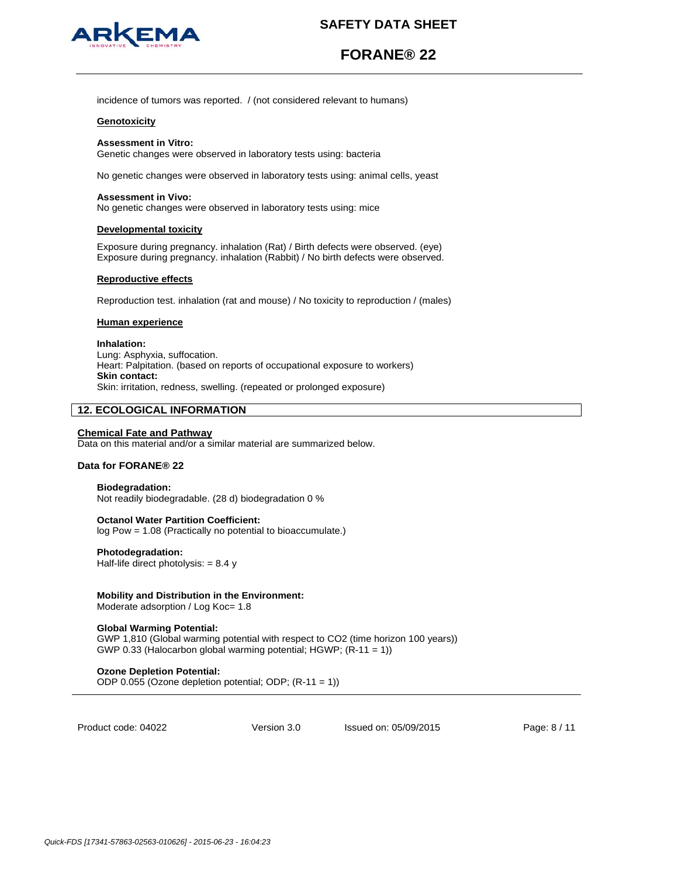

# **FORANE® 22**

incidence of tumors was reported. / (not considered relevant to humans)

#### **Genotoxicity**

#### **Assessment in Vitro:**

Genetic changes were observed in laboratory tests using: bacteria

No genetic changes were observed in laboratory tests using: animal cells, yeast

#### **Assessment in Vivo:**

No genetic changes were observed in laboratory tests using: mice

#### **Developmental toxicity**

Exposure during pregnancy. inhalation (Rat) / Birth defects were observed. (eye) Exposure during pregnancy. inhalation (Rabbit) / No birth defects were observed.

#### **Reproductive effects**

Reproduction test. inhalation (rat and mouse) / No toxicity to reproduction / (males)

# **Human experience**

#### **Inhalation:** Lung: Asphyxia, suffocation. Heart: Palpitation. (based on reports of occupational exposure to workers) **Skin contact:**

Skin: irritation, redness, swelling. (repeated or prolonged exposure)

# **12. ECOLOGICAL INFORMATION**

# **Chemical Fate and Pathway**

Data on this material and/or a similar material are summarized below.

#### **Data for FORANE® 22**

# **Biodegradation:**

Not readily biodegradable. (28 d) biodegradation 0 %

#### **Octanol Water Partition Coefficient:**

log Pow = 1.08 (Practically no potential to bioaccumulate.)

### **Photodegradation:**

Half-life direct photolysis:  $= 8.4 y$ 

#### **Mobility and Distribution in the Environment:**

Moderate adsorption / Log Koc= 1.8

### **Global Warming Potential:**

GWP 1,810 (Global warming potential with respect to CO2 (time horizon 100 years)) GWP 0.33 (Halocarbon global warming potential; HGWP; (R-11 = 1))

### **Ozone Depletion Potential:**

ODP 0.055 (Ozone depletion potential; ODP; (R-11 = 1))

Product code: 04022

Version 3.0 Issued on: 05/09/2015 Page: 8 / 11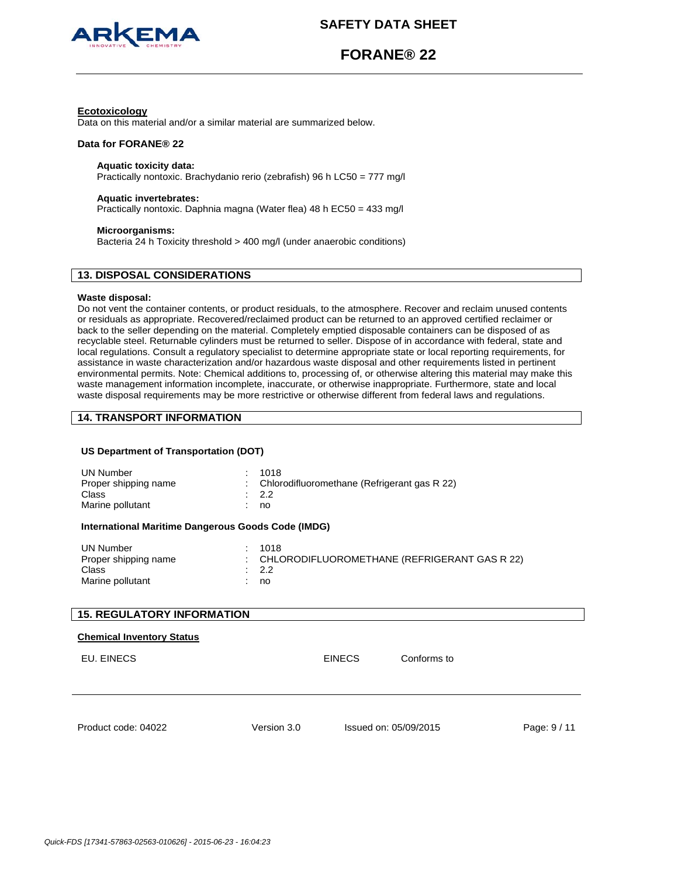

**FORANE® 22**

# **Ecotoxicology**

Data on this material and/or a similar material are summarized below.

#### **Data for FORANE® 22**

# **Aquatic toxicity data:**

Practically nontoxic. Brachydanio rerio (zebrafish) 96 h LC50 = 777 mg/l

#### **Aquatic invertebrates:**

Practically nontoxic. Daphnia magna (Water flea) 48 h EC50 = 433 mg/l

### **Microorganisms:**

Bacteria 24 h Toxicity threshold > 400 mg/l (under anaerobic conditions)

# **13. DISPOSAL CONSIDERATIONS**

### **Waste disposal:**

Do not vent the container contents, or product residuals, to the atmosphere. Recover and reclaim unused contents or residuals as appropriate. Recovered/reclaimed product can be returned to an approved certified reclaimer or back to the seller depending on the material. Completely emptied disposable containers can be disposed of as recyclable steel. Returnable cylinders must be returned to seller. Dispose of in accordance with federal, state and local regulations. Consult a regulatory specialist to determine appropriate state or local reporting requirements, for assistance in waste characterization and/or hazardous waste disposal and other requirements listed in pertinent environmental permits. Note: Chemical additions to, processing of, or otherwise altering this material may make this waste management information incomplete, inaccurate, or otherwise inappropriate. Furthermore, state and local waste disposal requirements may be more restrictive or otherwise different from federal laws and regulations.

# **14. TRANSPORT INFORMATION**

# **US Department of Transportation (DOT)**

| <b>UN Number</b><br>Proper shipping name<br>Class<br>Marine pollutant | ÷<br>÷ | 1018<br>Chlorodifluoromethane (Refrigerant gas R 22)<br>2.2<br>no |  |                       |            |
|-----------------------------------------------------------------------|--------|-------------------------------------------------------------------|--|-----------------------|------------|
| International Maritime Dangerous Goods Code (IMDG)                    |        |                                                                   |  |                       |            |
| <b>UN Number</b><br>Proper shipping name<br>Class<br>Marine pollutant |        | 1018<br>CHLORODIFLUOROMETHANE (REFRIGERANT GAS R 22)<br>2.2<br>no |  |                       |            |
| <b>15. REGULATORY INFORMATION</b>                                     |        |                                                                   |  |                       |            |
| <b>Chemical Inventory Status</b><br>EU. EINECS                        |        | <b>EINECS</b>                                                     |  | Conforms to           |            |
|                                                                       |        |                                                                   |  |                       |            |
| Product code: 04022                                                   |        | Version 3.0                                                       |  | Issued on: 05/09/2015 | Page: 9/11 |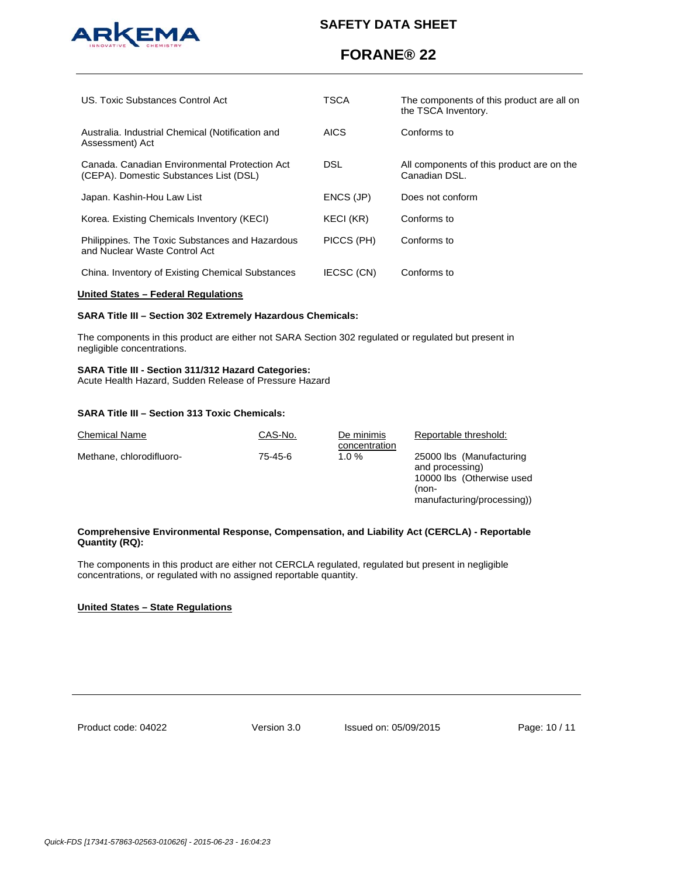

# **FORANE® 22**

| US. Toxic Substances Control Act                                                        | <b>TSCA</b>       | The components of this product are all on<br>the TSCA Inventory. |
|-----------------------------------------------------------------------------------------|-------------------|------------------------------------------------------------------|
| Australia. Industrial Chemical (Notification and<br>Assessment) Act                     | <b>AICS</b>       | Conforms to                                                      |
| Canada, Canadian Environmental Protection Act<br>(CEPA). Domestic Substances List (DSL) | DSL.              | All components of this product are on the<br>Canadian DSL.       |
| Japan. Kashin-Hou Law List                                                              | ENCS (JP)         | Does not conform                                                 |
| Korea. Existing Chemicals Inventory (KECI)                                              | KECI (KR)         | Conforms to                                                      |
| Philippines. The Toxic Substances and Hazardous<br>and Nuclear Waste Control Act        | PICCS (PH)        | Conforms to                                                      |
| China. Inventory of Existing Chemical Substances                                        | <b>IECSC (CN)</b> | Conforms to                                                      |

#### **United States – Federal Regulations**

# **SARA Title III – Section 302 Extremely Hazardous Chemicals:**

The components in this product are either not SARA Section 302 regulated or regulated but present in negligible concentrations.

#### **SARA Title III - Section 311/312 Hazard Categories:**

Acute Health Hazard, Sudden Release of Pressure Hazard

### **SARA Title III – Section 313 Toxic Chemicals:**

| <b>Chemical Name</b>     | CAS-No. | De minimis<br>concentration | Reportable threshold:                                                             |
|--------------------------|---------|-----------------------------|-----------------------------------------------------------------------------------|
| Methane, chlorodifluoro- | 75-45-6 | 1.0%                        | 25000 lbs (Manufacturing<br>and processing)<br>10000 lbs (Otherwise used<br>(non- |
|                          |         |                             | manufacturing/processing))                                                        |

### **Comprehensive Environmental Response, Compensation, and Liability Act (CERCLA) - Reportable Quantity (RQ):**

The components in this product are either not CERCLA regulated, regulated but present in negligible concentrations, or regulated with no assigned reportable quantity.

# **United States – State Regulations**

Product code: 04022

Version 3.0 Issued on: 05/09/2015 Page: 10 / 11